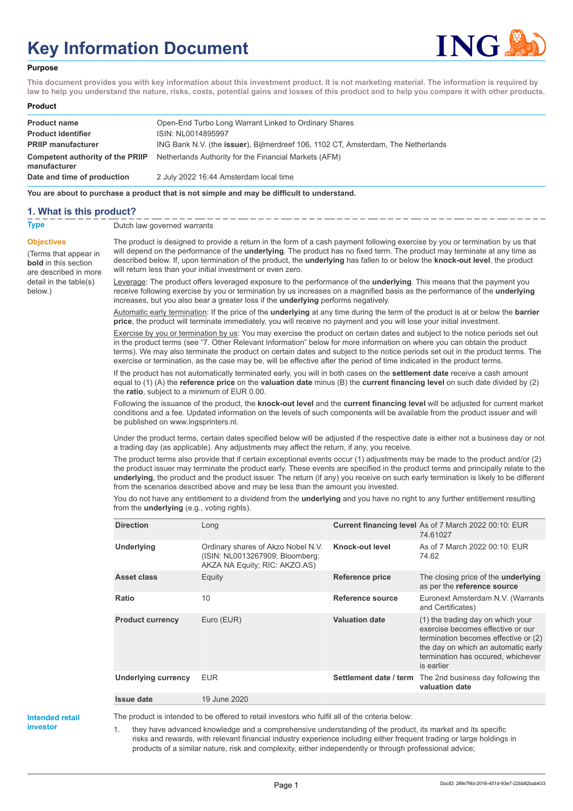# **Key Information Document**



#### **Purpose**

**This document provides you with key information about this investment product. It is not marketing material. The information is required by law to help you understand the nature, risks, costs, potential gains and losses of this product and to help you compare it with other products.**

| Product |  |
|---------|--|
|---------|--|

| <b>Product name</b><br><b>Product identifier</b><br><b>PRIIP manufacturer</b> | Open-End Turbo Long Warrant Linked to Ordinary Shares<br>ISIN: NL0014895997<br>ING Bank N.V. (the issuer), Bijlmerdreef 106, 1102 CT, Amsterdam, The Netherlands |
|-------------------------------------------------------------------------------|------------------------------------------------------------------------------------------------------------------------------------------------------------------|
| Competent authority of the PRIIP<br>manufacturer                              | Netherlands Authority for the Financial Markets (AFM)                                                                                                            |
| Date and time of production                                                   | 2 July 2022 16:44 Amsterdam local time                                                                                                                           |

**You are about to purchase a product that is not simple and may be difficult to understand.**

## **1. What is this product?**

**Objectives**

below.)

(Terms that appear in **bold** in this section are described in more detail in the table(s)

**Type** Dutch law governed warrants

The product is designed to provide a return in the form of a cash payment following exercise by you or termination by us that will depend on the performance of the **underlying**. The product has no fixed term. The product may terminate at any time as described below. If, upon termination of the product, the **underlying** has fallen to or below the **knock-out level**, the product will return less than your initial investment or even zero.

Leverage: The product offers leveraged exposure to the performance of the **underlying**. This means that the payment you receive following exercise by you or termination by us increases on a magnified basis as the performance of the **underlying** increases, but you also bear a greater loss if the **underlying** performs negatively.

Automatic early termination: If the price of the **underlying** at any time during the term of the product is at or below the **barrier price**, the product will terminate immediately, you will receive no payment and you will lose your initial investment.

Exercise by you or termination by us: You may exercise the product on certain dates and subject to the notice periods set out in the product terms (see "7. Other Relevant Information" below for more information on where you can obtain the product terms). We may also terminate the product on certain dates and subject to the notice periods set out in the product terms. The exercise or termination, as the case may be, will be effective after the period of time indicated in the product terms.

If the product has not automatically terminated early, you will in both cases on the **settlement date** receive a cash amount equal to (1) (A) the **reference price** on the **valuation date** minus (B) the **current financing level** on such date divided by (2) the **ratio**, subject to a minimum of EUR 0.00.

Following the issuance of the product, the **knock-out level** and the **current financing level** will be adjusted for current market conditions and a fee. Updated information on the levels of such components will be available from the product issuer and will be published on www.ingsprinters.nl.

Under the product terms, certain dates specified below will be adjusted if the respective date is either not a business day or not a trading day (as applicable). Any adjustments may affect the return, if any, you receive.

The product terms also provide that if certain exceptional events occur (1) adjustments may be made to the product and/or (2) the product issuer may terminate the product early. These events are specified in the product terms and principally relate to the **underlying**, the product and the product issuer. The return (if any) you receive on such early termination is likely to be different from the scenarios described above and may be less than the amount you invested.

You do not have any entitlement to a dividend from the **underlying** and you have no right to any further entitlement resulting from the **underlying** (e.g., voting rights).

| <b>Direction</b>           | Long                                                                                                   |                         | Current financing level As of 7 March 2022 00:10: EUR<br>74.61027                                                                                                                                         |
|----------------------------|--------------------------------------------------------------------------------------------------------|-------------------------|-----------------------------------------------------------------------------------------------------------------------------------------------------------------------------------------------------------|
| <b>Underlying</b>          | Ordinary shares of Akzo Nobel N.V.<br>(ISIN: NL0013267909; Bloomberg:<br>AKZA NA Equity; RIC: AKZO.AS) | Knock-out level         | As of 7 March 2022 00:10: EUR<br>74.62                                                                                                                                                                    |
| Asset class                | Equity                                                                                                 | <b>Reference price</b>  | The closing price of the <b>underlying</b><br>as per the reference source                                                                                                                                 |
| <b>Ratio</b>               | 10                                                                                                     | <b>Reference source</b> | Euronext Amsterdam N.V. (Warrants<br>and Certificates)                                                                                                                                                    |
| <b>Product currency</b>    | Euro (EUR)                                                                                             | <b>Valuation date</b>   | (1) the trading day on which your<br>exercise becomes effective or our<br>termination becomes effective or (2)<br>the day on which an automatic early<br>termination has occured, whichever<br>is earlier |
| <b>Underlying currency</b> | <b>EUR</b>                                                                                             | Settlement date / term  | The 2nd business day following the<br>valuation date                                                                                                                                                      |
| <b>Issue date</b>          | 19 June 2020                                                                                           |                         |                                                                                                                                                                                                           |

**Intended retail investor**

The product is intended to be offered to retail investors who fulfil all of the criteria below:

they have advanced knowledge and a comprehensive understanding of the product, its market and its specific risks and rewards, with relevant financial industry experience including either frequent trading or large holdings in products of a similar nature, risk and complexity, either independently or through professional advice;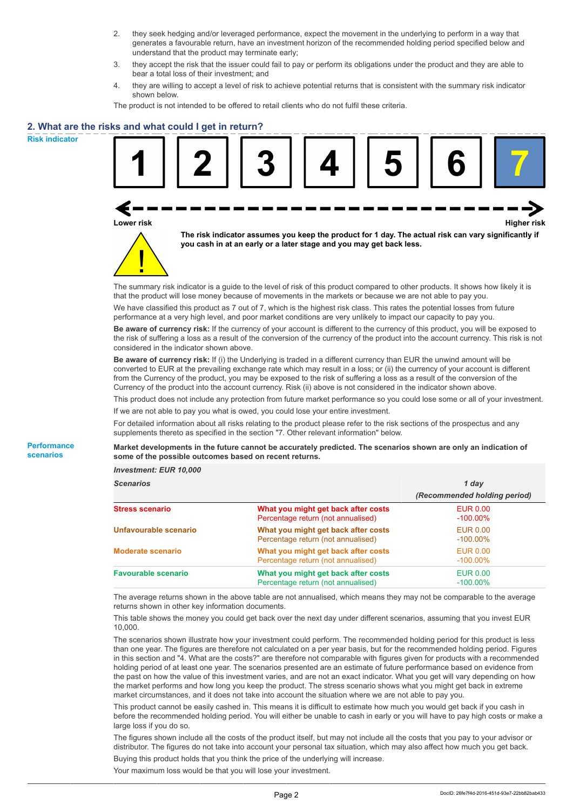- 2. they seek hedging and/or leveraged performance, expect the movement in the underlying to perform in a way that generates a favourable return, have an investment horizon of the recommended holding period specified below and understand that the product may terminate early;
- 3. they accept the risk that the issuer could fail to pay or perform its obligations under the product and they are able to bear a total loss of their investment; and
- 4. they are willing to accept a level of risk to achieve potential returns that is consistent with the summary risk indicator shown below.

The product is not intended to be offered to retail clients who do not fulfil these criteria.

### **2. What are the risks and what could I get in return?**

**Risk indicator**

**Performance scenarios**

| Lower risk |  | you cash in at an early or a later stage and you may get back less. | The risk indicator assumes you keep the product for 1 day. The actual risk can vary significantly if                                                                                                                                            | <b>Higher risk</b> |
|------------|--|---------------------------------------------------------------------|-------------------------------------------------------------------------------------------------------------------------------------------------------------------------------------------------------------------------------------------------|--------------------|
|            |  |                                                                     | The summary risk indicator is a quide to the level of risk of this product compared to other products. It shows how likely it is<br>that the product will lose money because of movements in the markets or because we are not able to pay you. |                    |

We have classified this product as 7 out of 7, which is the highest risk class. This rates the potential losses from future performance at a very high level, and poor market conditions are very unlikely to impact our capacity to pay you.

**Be aware of currency risk:** If the currency of your account is different to the currency of this product, you will be exposed to the risk of suffering a loss as a result of the conversion of the currency of the product into the account currency. This risk is not considered in the indicator shown above.

**Be aware of currency risk:** If (i) the Underlying is traded in a different currency than EUR the unwind amount will be converted to EUR at the prevailing exchange rate which may result in a loss; or (ii) the currency of your account is different from the Currency of the product, you may be exposed to the risk of suffering a loss as a result of the conversion of the Currency of the product into the account currency. Risk (ii) above is not considered in the indicator shown above.

This product does not include any protection from future market performance so you could lose some or all of your investment. If we are not able to pay you what is owed, you could lose your entire investment.

For detailed information about all risks relating to the product please refer to the risk sections of the prospectus and any supplements thereto as specified in the section "7. Other relevant information" below.

**Market developments in the future cannot be accurately predicted. The scenarios shown are only an indication of some of the possible outcomes based on recent returns.**

*Investment: EUR 10,000*

| Scenarios                  |                                                                           | 1 day                          |  |
|----------------------------|---------------------------------------------------------------------------|--------------------------------|--|
|                            |                                                                           | (Recommended holding period)   |  |
| <b>Stress scenario</b>     | What you might get back after costs<br>Percentage return (not annualised) | EUR 0.00<br>$-100.00\%$        |  |
| Unfavourable scenario      | What you might get back after costs<br>Percentage return (not annualised) | <b>EUR 0.00</b><br>$-100.00\%$ |  |
| <b>Moderate scenario</b>   | What you might get back after costs<br>Percentage return (not annualised) | EUR 0.00<br>$-100.00\%$        |  |
| <b>Favourable scenario</b> | What you might get back after costs<br>Percentage return (not annualised) | EUR 0.00<br>$-100.00\%$        |  |

The average returns shown in the above table are not annualised, which means they may not be comparable to the average returns shown in other key information documents.

This table shows the money you could get back over the next day under different scenarios, assuming that you invest EUR 10,000.

The scenarios shown illustrate how your investment could perform. The recommended holding period for this product is less than one year. The figures are therefore not calculated on a per year basis, but for the recommended holding period. Figures in this section and "4. What are the costs?" are therefore not comparable with figures given for products with a recommended holding period of at least one year. The scenarios presented are an estimate of future performance based on evidence from the past on how the value of this investment varies, and are not an exact indicator. What you get will vary depending on how the market performs and how long you keep the product. The stress scenario shows what you might get back in extreme market circumstances, and it does not take into account the situation where we are not able to pay you.

This product cannot be easily cashed in. This means it is difficult to estimate how much you would get back if you cash in before the recommended holding period. You will either be unable to cash in early or you will have to pay high costs or make a large loss if you do so.

The figures shown include all the costs of the product itself, but may not include all the costs that you pay to your advisor or distributor. The figures do not take into account your personal tax situation, which may also affect how much you get back. Buying this product holds that you think the price of the underlying will increase.

Your maximum loss would be that you will lose your investment.